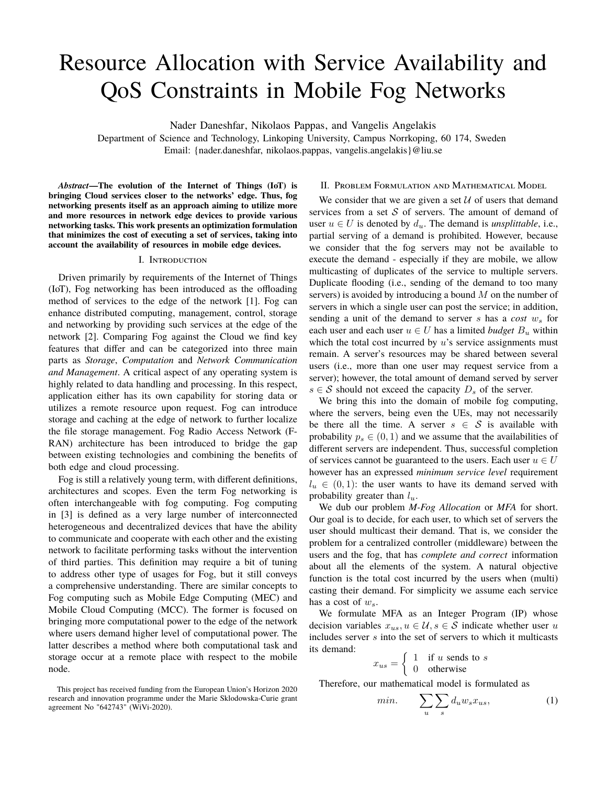# Resource Allocation with Service Availability and QoS Constraints in Mobile Fog Networks

Nader Daneshfar, Nikolaos Pappas, and Vangelis Angelakis

Department of Science and Technology, Linkoping University, Campus Norrkoping, 60 174, Sweden Email: {nader.daneshfar, nikolaos.pappas, vangelis.angelakis}@liu.se

*Abstract***—The evolution of the Internet of Things (IoT) is bringing Cloud services closer to the networks' edge. Thus, fog networking presents itself as an approach aiming to utilize more and more resources in network edge devices to provide various networking tasks. This work presents an optimization formulation that minimizes the cost of executing a set of services, taking into account the availability of resources in mobile edge devices.**

## I. Introduction

Driven primarily by requirements of the Internet of Things (IoT), Fog networking has been introduced as the offloading method of services to the edge of the network [1]. Fog can enhance distributed computing, management, control, storage and networking by providing such services at the edge of the network [2]. Comparing Fog against the Cloud we find key features that differ and can be categorized into three main parts as *Storage*, *Computation* and *Network Communication and Management*. A critical aspect of any operating system is highly related to data handling and processing. In this respect, application either has its own capability for storing data or utilizes a remote resource upon request. Fog can introduce storage and caching at the edge of network to further localize the file storage management. Fog Radio Access Network (F-RAN) architecture has been introduced to bridge the gap between existing technologies and combining the benefits of both edge and cloud processing.

Fog is still a relatively young term, with different definitions, architectures and scopes. Even the term Fog networking is often interchangeable with fog computing. Fog computing in [3] is defined as a very large number of interconnected heterogeneous and decentralized devices that have the ability to communicate and cooperate with each other and the existing network to facilitate performing tasks without the intervention of third parties. This definition may require a bit of tuning to address other type of usages for Fog, but it still conveys a comprehensive understanding. There are similar concepts to Fog computing such as Mobile Edge Computing (MEC) and Mobile Cloud Computing (MCC). The former is focused on bringing more computational power to the edge of the network where users demand higher level of computational power. The latter describes a method where both computational task and storage occur at a remote place with respect to the mobile node.

### II. Problem Formulation and Mathematical Model

We consider that we are given a set  $U$  of users that demand services from a set  $S$  of servers. The amount of demand of user  $u \in U$  is denoted by  $d_u$ . The demand is *unsplittable*, i.e., partial serving of a demand is prohibited. However, because we consider that the fog servers may not be available to execute the demand - especially if they are mobile, we allow multicasting of duplicates of the service to multiple servers. Duplicate flooding (i.e., sending of the demand to too many servers) is avoided by introducing a bound  $M$  on the number of servers in which a single user can post the service; in addition, sending a unit of the demand to server s has a *cost*  $w_s$  for each user and each user  $u \in U$  has a limited *budget*  $B_u$  within which the total cost incurred by  $u$ 's service assignments must remain. A server's resources may be shared between several users (i.e., more than one user may request service from a server); however, the total amount of demand served by server  $s \in S$  should not exceed the capacity  $D_s$  of the server.

We bring this into the domain of mobile fog computing, where the servers, being even the UEs, may not necessarily be there all the time. A server  $s \in S$  is available with probability  $p_s \in (0, 1)$  and we assume that the availabilities of different servers are independent. Thus, successful completion of services cannot be guaranteed to the users. Each user  $u \in U$ however has an expressed *minimum service level* requirement  $l_u \in (0, 1)$ : the user wants to have its demand served with probability greater than  $l_u$ .

We dub our problem *M-Fog Allocation* or *MFA* for short. Our goal is to decide, for each user, to which set of servers the user should multicast their demand. That is, we consider the problem for a centralized controller (middleware) between the users and the fog, that has *complete and correct* information about all the elements of the system. A natural objective function is the total cost incurred by the users when (multi) casting their demand. For simplicity we assume each service has a cost of  $w_{\rm es}$ .

We formulate MFA as an Integer Program (IP) whose decision variables  $x_{us}$ ,  $u \in \mathcal{U}$ ,  $s \in \mathcal{S}$  indicate whether user u includes server  $s$  into the set of servers to which it multicasts its demand:

$$
x_{us} = \begin{cases} 1 & \text{if } u \text{ sends to } s \\ 0 & \text{otherwise} \end{cases}
$$

Therefore, our mathematical model is formulated as

$$
min. \qquad \sum_{u} \sum_{s} d_u w_s x_{us}, \tag{1}
$$

This project has received funding from the European Union's Horizon 2020 research and innovation programme under the Marie Sklodowska-Curie grant agreement No "642743" (WiVi-2020).